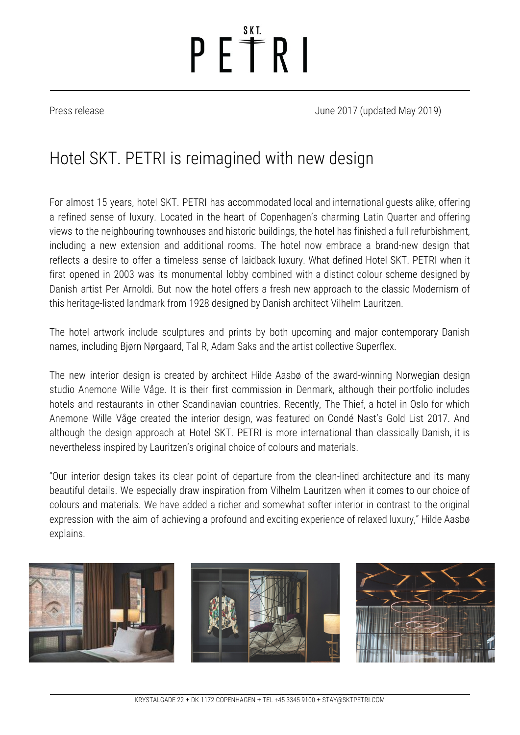# $P E^* R$

Press release June 2017 (updated May 2019)

### Hotel SKT. PETRI is reimagined with new design

For almost 15 years, hotel SKT. PETRI has accommodated local and international guests alike, offering a refined sense of luxury. Located in the heart of Copenhagen's charming Latin Quarter and offering views to the neighbouring townhouses and historic buildings, the hotel has finished a full refurbishment, including a new extension and additional rooms. The hotel now embrace a brand-new design that reflects a desire to offer a timeless sense of laidback luxury. What defined Hotel SKT. PETRI when it first opened in 2003 was its monumental lobby combined with a distinct colour scheme designed by Danish artist Per Arnoldi. But now the hotel offers a fresh new approach to the classic Modernism of this heritage-listed landmark from 1928 designed by Danish architect Vilhelm Lauritzen.

The hotel artwork include sculptures and prints by both upcoming and major contemporary Danish names, including Bjørn Nørgaard, Tal R, Adam Saks and the artist collective Superflex.

The new interior design is created by architect Hilde Aasbø of the award-winning Norwegian design studio Anemone Wille Våge. It is their first commission in Denmark, although their portfolio includes hotels and restaurants in other Scandinavian countries. Recently, The Thief, a hotel in Oslo for which Anemone Wille Våge created the interior design, was featured on Condé Nast's Gold List 2017. And although the design approach at Hotel SKT. PETRI is more international than classically Danish, it is nevertheless inspired by Lauritzen's original choice of colours and materials.

"Our interior design takes its clear point of departure from the clean-lined architecture and its many beautiful details. We especially draw inspiration from Vilhelm Lauritzen when it comes to our choice of colours and materials. We have added a richer and somewhat softer interior in contrast to the original expression with the aim of achieving a profound and exciting experience of relaxed luxury," Hilde Aasbø explains.